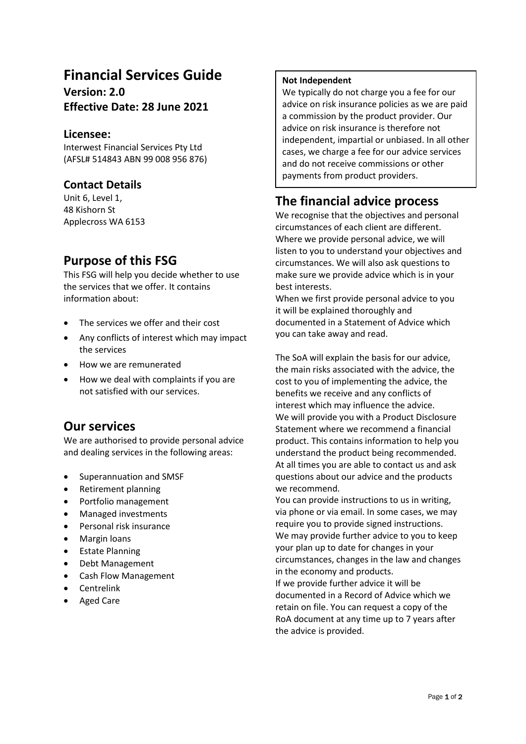# **Financial Services Guide**

**Version: 2.0 Effective Date: 28 June 2021**

### **Licensee:**

Interwest Financial Services Pty Ltd (AFSL# 514843 ABN 99 008 956 876)

### **Contact Details**

Unit 6, Level 1, 48 Kishorn St Applecross WA 6153

# **Purpose of this FSG**

This FSG will help you decide whether to use the services that we offer. It contains information about:

- The services we offer and their cost
- Any conflicts of interest which may impact the services
- How we are remunerated
- How we deal with complaints if you are not satisfied with our services.

### **Our services**

We are authorised to provide personal advice and dealing services in the following areas:

- Superannuation and SMSF
- Retirement planning
- Portfolio management
- Managed investments
- Personal risk insurance
- Margin loans
- Estate Planning
- Debt Management
- Cash Flow Management
- **Centrelink**
- Aged Care

#### **Not Independent**

We typically do not charge you a fee for our advice on risk insurance policies as we are paid a commission by the product provider. Our advice on risk insurance is therefore not independent, impartial or unbiased. In all other cases, we charge a fee for our advice services and do not receive commissions or other payments from product providers.

# **The financial advice process**

We recognise that the objectives and personal circumstances of each client are different. Where we provide personal advice, we will listen to you to understand your objectives and circumstances. We will also ask questions to make sure we provide advice which is in your best interests.

When we first provide personal advice to you it will be explained thoroughly and documented in a Statement of Advice which you can take away and read.

The SoA will explain the basis for our advice, the main risks associated with the advice, the cost to you of implementing the advice, the benefits we receive and any conflicts of interest which may influence the advice. We will provide you with a Product Disclosure Statement where we recommend a financial product. This contains information to help you understand the product being recommended. At all times you are able to contact us and ask questions about our advice and the products we recommend.

You can provide instructions to us in writing, via phone or via email. In some cases, we may require you to provide signed instructions. We may provide further advice to you to keep your plan up to date for changes in your circumstances, changes in the law and changes in the economy and products. If we provide further advice it will be documented in a Record of Advice which we retain on file. You can request a copy of the RoA document at any time up to 7 years after the advice is provided.